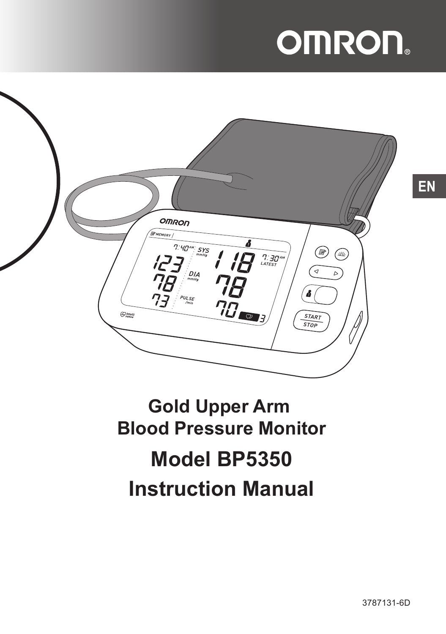# **OMRON**



# **Gold Upper Arm Blood Pressure Monitor Model BP5350 Instruction Manual**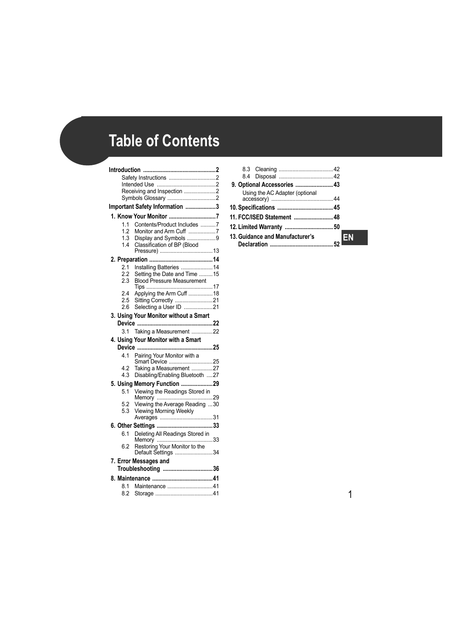# **Table of Contents**

| <b>Introduction</b>        |                                                      |  |
|----------------------------|------------------------------------------------------|--|
|                            |                                                      |  |
|                            |                                                      |  |
| Receiving and Inspection 2 |                                                      |  |
|                            | Important Safety Information 3                       |  |
|                            |                                                      |  |
|                            |                                                      |  |
| 1.1<br>12                  | Contents/Product Includes 7                          |  |
| 1.3                        | Monitor and Arm Cuff 7<br>Display and Symbols 9      |  |
| 14                         | Classification of BP (Blood                          |  |
|                            |                                                      |  |
|                            |                                                      |  |
| 2.1                        | Installing Batteries  14                             |  |
| 2.2                        | Setting the Date and Time 15                         |  |
| 2.3                        | <b>Blood Pressure Measurement</b>                    |  |
| 2.4                        | Applying the Arm Cuff  18                            |  |
| 2.5                        | Sitting Correctly 21                                 |  |
| 2.6                        | Selecting a User ID 21                               |  |
|                            | 3. Using Your Monitor without a Smart                |  |
|                            |                                                      |  |
| 3 <sub>1</sub>             | Taking a Measurement 22                              |  |
|                            | 4. Using Your Monitor with a Smart                   |  |
|                            |                                                      |  |
| 4.1                        | Pairing Your Monitor with a<br>Smart Device 25       |  |
| 4.2                        | Taking a Measurement 27                              |  |
| 4.3                        | Disabling/Enabling Bluetooth 27                      |  |
|                            | 5. Using Memory Function 29                          |  |
| 5.1                        | Viewing the Readings Stored in                       |  |
|                            |                                                      |  |
| 5.2                        | Viewing the Average Reading 30                       |  |
| 5.3                        | Viewing Morning Weekly                               |  |
|                            |                                                      |  |
|                            |                                                      |  |
|                            |                                                      |  |
| 6.1                        | Deleting All Readings Stored in                      |  |
| 62                         | Restoring Your Monitor to the<br>Default Settings 34 |  |
|                            | 7. Error Messages and                                |  |
|                            | Troubleshooting 36                                   |  |
|                            |                                                      |  |
| 8.1<br>8.2                 | Maintenance 41                                       |  |

| 9. Optional Accessories  43     |  |
|---------------------------------|--|
| Using the AC Adapter (optional  |  |
|                                 |  |
|                                 |  |
| 11. FCC/ISED Statement  48      |  |
|                                 |  |
| 13. Guidance and Manufacturer's |  |
|                                 |  |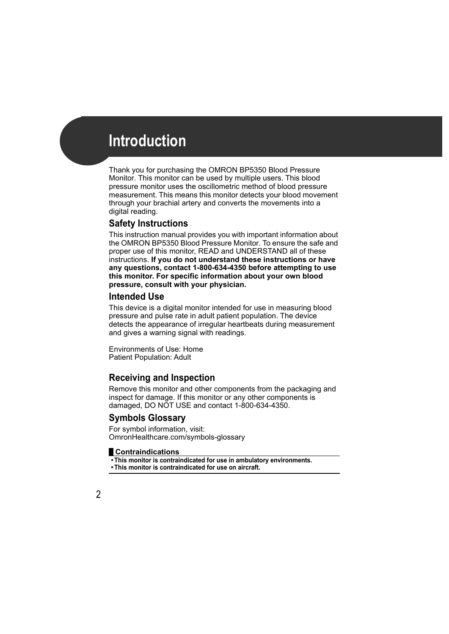Thank you for purchasing the OMRON BP5350 Blood Pressure Monitor. This monitor can be used by multiple users. This blood pressure monitor uses the oscillometric method of blood pressure measurement. This means this monitor detects your blood movement through your brachial artery and converts the movements into a digital reading.

# **Safety Instructions**

This instruction manual provides you with important information about the OMRON BP5350 Blood Pressure Monitor. To ensure the safe and proper use of this monitor, READ and UNDERSTAND all of these instructions. **If you do not understand these instructions or have any questions, contact 1-800-634-4350 before attempting to use this monitor. For specific information about your own blood pressure, consult with your physician.**

## **Intended Use**

This device is a digital monitor intended for use in measuring blood pressure and pulse rate in adult patient population. The device detects the appearance of irregular heartbeats during measurement and gives a warning signal with readings.

Environments of Use: Home Patient Population: Adult

# **Receiving and Inspection**

Remove this monitor and other components from the packaging and inspect for damage. If this monitor or any other components is damaged, DO NOT USE and contact 1-800-634-4350.

# **Symbols Glossary**

For symbol information, visit: OmronHealthcare.com/symbols-glossary

### **Contraindications**

**• This monitor is contraindicated for use in ambulatory environments.**

**• This monitor is contraindicated for use on aircraft.**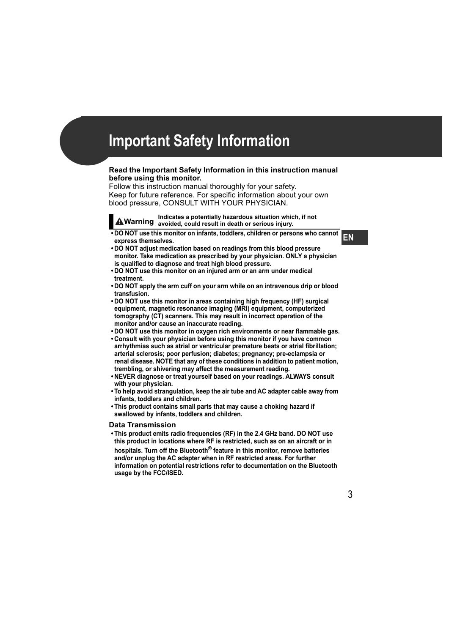#### **Read the Important Safety Information in this instruction manual before using this monitor.**

Follow this instruction manual thoroughly for your safety. Keep for future reference. For specific information about your own blood pressure, CONSULT WITH YOUR PHYSICIAN.

**Warning Indicates a potentially hazardous situation which, if not avoided, could result in death or serious injury.**

**• DO NOT use this monitor on infants, toddlers, children or persons who cannot express themselves.**

**EN**

- **DO NOT adjust medication based on readings from this blood pressure monitor. Take medication as prescribed by your physician. ONLY a physician is qualified to diagnose and treat high blood pressure.**
- **DO NOT use this monitor on an injured arm or an arm under medical treatment.**
- **DO NOT apply the arm cuff on your arm while on an intravenous drip or blood transfusion.**
- **DO NOT use this monitor in areas containing high frequency (HF) surgical equipment, magnetic resonance imaging (MRI) equipment, computerized tomography (CT) scanners. This may result in incorrect operation of the monitor and/or cause an inaccurate reading.**
- **DO NOT use this monitor in oxygen rich environments or near flammable gas.**
- **Consult with your physician before using this monitor if you have common arrhythmias such as atrial or ventricular premature beats or atrial fibrillation; arterial sclerosis; poor perfusion; diabetes; pregnancy; pre-eclampsia or renal disease. NOTE that any of these conditions in addition to patient motion, trembling, or shivering may affect the measurement reading.**
- **NEVER diagnose or treat yourself based on your readings. ALWAYS consult with your physician.**
- **To help avoid strangulation, keep the air tube and AC adapter cable away from infants, toddlers and children.**
- **This product contains small parts that may cause a choking hazard if swallowed by infants, toddlers and children.**

#### **Data Transmission**

**• This product emits radio frequencies (RF) in the 2.4 GHz band. DO NOT use this product in locations where RF is restricted, such as on an aircraft or in hospitals. Turn off the Bluetooth® feature in this monitor, remove batteries and/or unplug the AC adapter when in RF restricted areas. For further information on potential restrictions refer to documentation on the Bluetooth usage by the FCC/ISED.**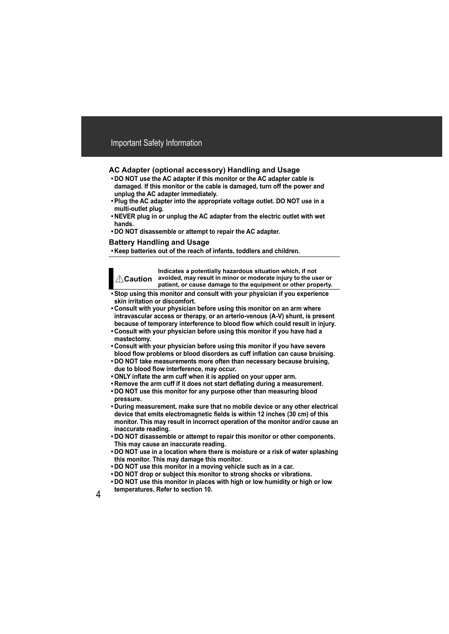### **AC Adapter (optional accessory) Handling and Usage**

- **DO NOT use the AC adapter if this monitor or the AC adapter cable is damaged. If this monitor or the cable is damaged, turn off the power and unplug the AC adapter immediately.**
- **Plug the AC adapter into the appropriate voltage outlet. DO NOT use in a multi-outlet plug.**
- **NEVER plug in or unplug the AC adapter from the electric outlet with wet hands.**
- **DO NOT disassemble or attempt to repair the AC adapter.**

#### **Battery Handling and Usage**

**• Keep batteries out of the reach of infants, toddlers and children.**



**Indicates a potentially hazardous situation which, if not avoided, may result in minor or moderate injury to the user or patient, or cause damage to the equipment or other property.**

- **Stop using this monitor and consult with your physician if you experience skin irritation or discomfort.**
- **Consult with your physician before using this monitor on an arm where intravascular access or therapy, or an arterio-venous (A-V) shunt, is present because of temporary interference to blood flow which could result in injury.**
- **Consult with your physician before using this monitor if you have had a mastectomy.**
- **Consult with your physician before using this monitor if you have severe blood flow problems or blood disorders as cuff inflation can cause bruising.**
- **DO NOT take measurements more often than necessary because bruising, due to blood flow interference, may occur.**
- **ONLY inflate the arm cuff when it is applied on your upper arm.**
- **Remove the arm cuff if it does not start deflating during a measurement.**
- **DO NOT use this monitor for any purpose other than measuring blood pressure.**
- **During measurement, make sure that no mobile device or any other electrical device that emits electromagnetic fields is within 12 inches (30 cm) of this monitor. This may result in incorrect operation of the monitor and/or cause an inaccurate reading.**
- **DO NOT disassemble or attempt to repair this monitor or other components. This may cause an inaccurate reading.**
- **DO NOT use in a location where there is moisture or a risk of water splashing this monitor. This may damage this monitor.**
- **DO NOT use this monitor in a moving vehicle such as in a car.**
- **DO NOT drop or subject this monitor to strong shocks or vibrations.**
- **DO NOT use this monitor in places with high or low humidity or high or low temperatures. Refer to section 10.**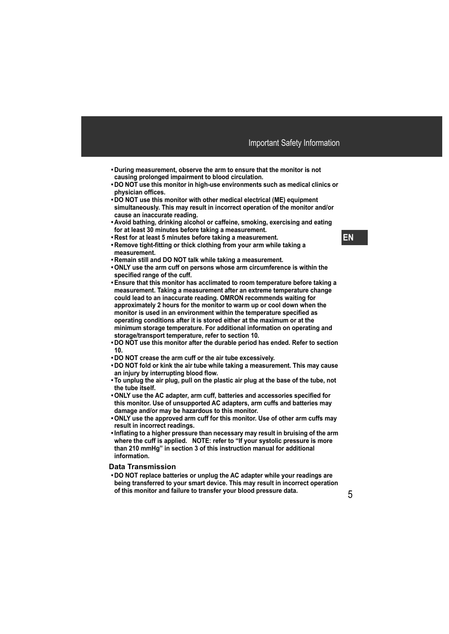- **During measurement, observe the arm to ensure that the monitor is not causing prolonged impairment to blood circulation.**
- **DO NOT use this monitor in high-use environments such as medical clinics or physician offices.**
- **DO NOT use this monitor with other medical electrical (ME) equipment simultaneously. This may result in incorrect operation of the monitor and/or cause an inaccurate reading.**
- **Avoid bathing, drinking alcohol or caffeine, smoking, exercising and eating for at least 30 minutes before taking a measurement.**
- **Rest for at least 5 minutes before taking a measurement.**
- **Remove tight-fitting or thick clothing from your arm while taking a measurement.**
- **Remain still and DO NOT talk while taking a measurement.**
- **ONLY use the arm cuff on persons whose arm circumference is within the specified range of the cuff.**
- **Ensure that this monitor has acclimated to room temperature before taking a measurement. Taking a measurement after an extreme temperature change could lead to an inaccurate reading. OMRON recommends waiting for approximately 2 hours for the monitor to warm up or cool down when the monitor is used in an environment within the temperature specified as operating conditions after it is stored either at the maximum or at the minimum storage temperature. For additional information on operating and storage/transport temperature, refer to section 10.**
- **DO NOT use this monitor after the durable period has ended. Refer to section 10.**
- **DO NOT crease the arm cuff or the air tube excessively.**
- **DO NOT fold or kink the air tube while taking a measurement. This may cause an injury by interrupting blood flow.**
- **To unplug the air plug, pull on the plastic air plug at the base of the tube, not the tube itself.**
- **ONLY use the AC adapter, arm cuff, batteries and accessories specified for this monitor. Use of unsupported AC adapters, arm cuffs and batteries may damage and/or may be hazardous to this monitor.**
- **ONLY use the approved arm cuff for this monitor. Use of other arm cuffs may result in incorrect readings.**
- **Inflating to a higher pressure than necessary may result in bruising of the arm where the cuff is applied. NOTE: refer to "If your systolic pressure is more than 210 mmHg" in section 3 of this instruction manual for additional information.**

#### **Data Transmission**

**• DO NOT replace batteries or unplug the AC adapter while your readings are being transferred to your smart device. This may result in incorrect operation of this monitor and failure to transfer your blood pressure data.**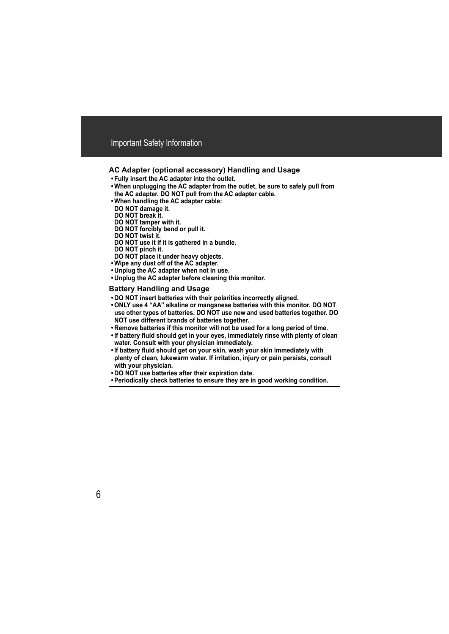### **AC Adapter (optional accessory) Handling and Usage**

- **Fully insert the AC adapter into the outlet.**
- **When unplugging the AC adapter from the outlet, be sure to safely pull from the AC adapter. DO NOT pull from the AC adapter cable.**
- **When handling the AC adapter cable:**
- **DO NOT damage it.**
- **DO NOT break it.**
- **DO NOT tamper with it.**
- **DO NOT forcibly bend or pull it.**
- **DO NOT twist it.**
- **DO NOT use it if it is gathered in a bundle.**
- **DO NOT pinch it.**
- **DO NOT place it under heavy objects.**
- **Wipe any dust off of the AC adapter.**
- **Unplug the AC adapter when not in use.**
- **Unplug the AC adapter before cleaning this monitor.**

#### **Battery Handling and Usage**

- **DO NOT insert batteries with their polarities incorrectly aligned.**
- **ONLY use 4 "AA" alkaline or manganese batteries with this monitor. DO NOT use other types of batteries. DO NOT use new and used batteries together. DO NOT use different brands of batteries together.**
- **Remove batteries if this monitor will not be used for a long period of time.**
- **If battery fluid should get in your eyes, immediately rinse with plenty of clean water. Consult with your physician immediately.**
- **If battery fluid should get on your skin, wash your skin immediately with plenty of clean, lukewarm water. If irritation, injury or pain persists, consult with your physician.**
- **DO NOT use batteries after their expiration date.**
- **Periodically check batteries to ensure they are in good working condition.**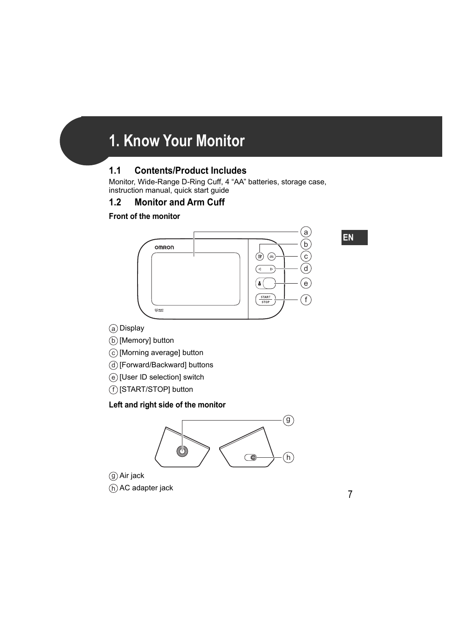# **1. Know Your Monitor**

# **1.1 Contents/Product Includes**

Monitor, Wide-Range D-Ring Cuff, 4 "AA" batteries, storage case, instruction manual, quick start guide

# **1.2 Monitor and Arm Cuff**

## **Front of the monitor**



- a) Display
- b) [Memory] button
- $\overline{\text{c}}$  [Morning average] button
- d) [Forward/Backward] buttons
- $_{\odot}$  [User ID selection] switch
- f) [START/STOP] button

# **Left and right side of the monitor**



Air jack g h) AC adapter jack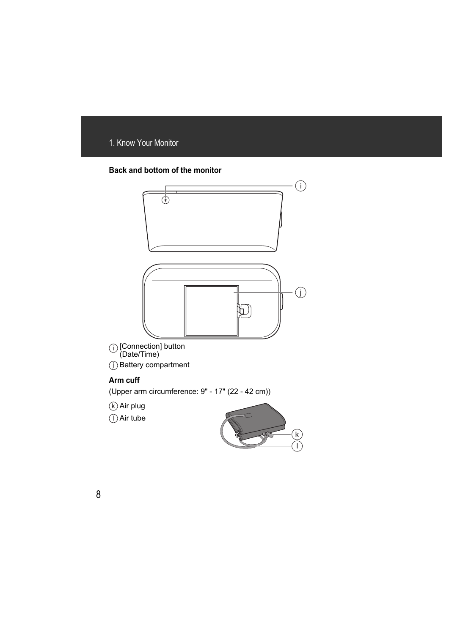### **Back and bottom of the monitor**



j) Battery compartment

### **Arm cuff**

(Upper arm circumference: 9" - 17" (22 - 42 cm))

k) Air plug

Air tube l

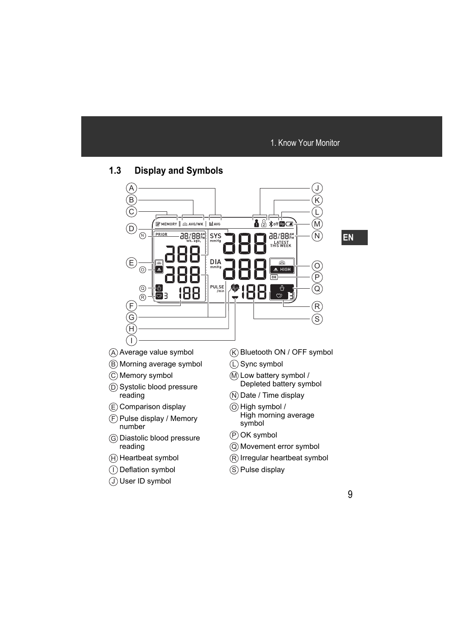# **1.3 Display and Symbols**



- A) Average value symbol
- Morning average symbol B
- Memory symbol C
- D) Systolic blood pressure reading
- E) Comparison display
- F) Pulse display / Memory number
- G) Diastolic blood pressure reading
- H) Heartbeat symbol
- l) Deflation symbol
- User ID symbol J
- Bluetooth ON / OFF symbol K
- Sync symbol L
- M Low battery symbol / Depleted battery symbol
- N) Date / Time display
- $\odot$  High symbol / High morning average symbol
- OK symbol P
- Movement error symbol Q
- $\left| \mathsf{R} \right\rangle$ Irregular heartbeat symbol
- S) Pulse display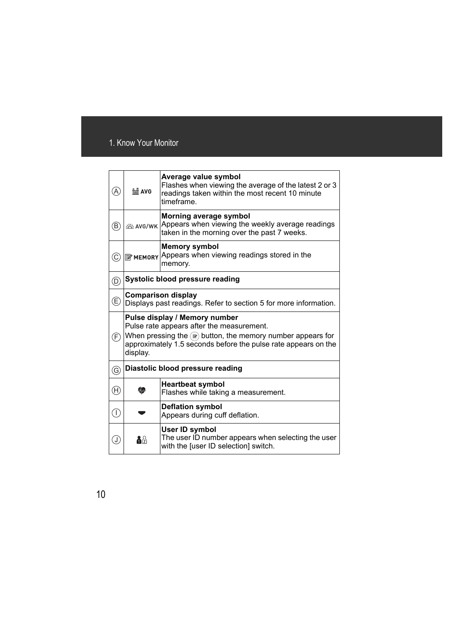| $\left( A\right)$              | in AVG                                                                                                                                                                                                                            | Average value symbol<br>Flashes when viewing the average of the latest 2 or 3<br>readings taken within the most recent 10 minute<br>timeframe. |
|--------------------------------|-----------------------------------------------------------------------------------------------------------------------------------------------------------------------------------------------------------------------------------|------------------------------------------------------------------------------------------------------------------------------------------------|
| B)                             | <b>巡 AVG/WK</b>                                                                                                                                                                                                                   | Morning average symbol<br>Appears when viewing the weekly average readings<br>taken in the morning over the past 7 weeks.                      |
| $_{\mathbb{C}}$                |                                                                                                                                                                                                                                   | <b>Memory symbol</b><br>В мемову Appears when viewing readings stored in the<br>memory.                                                        |
| $^{\copyright}$                | Systolic blood pressure reading                                                                                                                                                                                                   |                                                                                                                                                |
| $^\copyright$                  | <b>Comparison display</b><br>Displays past readings. Refer to section 5 for more information.                                                                                                                                     |                                                                                                                                                |
|                                | Pulse display / Memory number<br>Pulse rate appears after the measurement.<br>When pressing the $\circledast$ button, the memory number appears for<br>approximately 1.5 seconds before the pulse rate appears on the<br>display. |                                                                                                                                                |
| $\left(\mathsf{F}\right)$      |                                                                                                                                                                                                                                   |                                                                                                                                                |
| $\circledS$                    |                                                                                                                                                                                                                                   | Diastolic blood pressure reading                                                                                                               |
| $\textcircled{\scriptsize{H}}$ |                                                                                                                                                                                                                                   | <b>Heartbeat symbol</b><br>Flashes while taking a measurement.                                                                                 |
| $\bigcirc$                     |                                                                                                                                                                                                                                   | <b>Deflation symbol</b><br>Appears during cuff deflation.                                                                                      |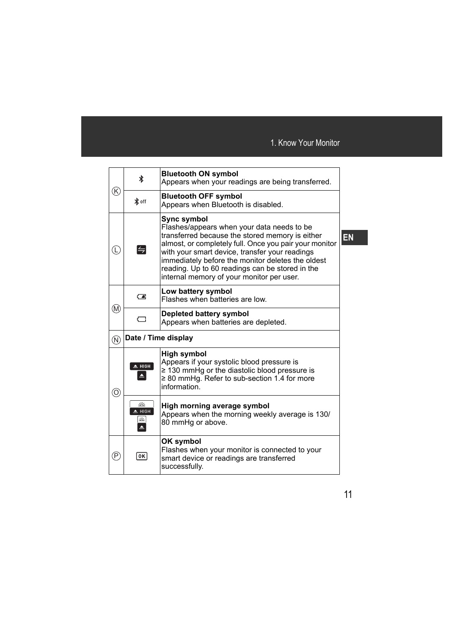| K)                        | ∦                               | <b>Bluetooth ON symbol</b><br>Appears when your readings are being transferred.                                                                                                                                                                                                                                                                                                      |  |
|---------------------------|---------------------------------|--------------------------------------------------------------------------------------------------------------------------------------------------------------------------------------------------------------------------------------------------------------------------------------------------------------------------------------------------------------------------------------|--|
|                           | <b>∦</b> off                    | <b>Bluetooth OFF symbol</b><br>Appears when Bluetooth is disabled.                                                                                                                                                                                                                                                                                                                   |  |
| Ĺ,                        | $\left  \rightleftharpoons$     | <b>Sync symbol</b><br>Flashes/appears when your data needs to be<br>transferred because the stored memory is either<br>almost, or completely full. Once you pair your monitor<br>with your smart device, transfer your readings<br>immediately before the monitor deletes the oldest<br>reading. Up to 60 readings can be stored in the<br>internal memory of your monitor per user. |  |
|                           | ⊂∎                              | Low battery symbol<br>Flashes when batteries are low.                                                                                                                                                                                                                                                                                                                                |  |
| (M)                       | G                               | <b>Depleted battery symbol</b><br>Appears when batteries are depleted.                                                                                                                                                                                                                                                                                                               |  |
| $(\widehat{\mathsf{N}})$  | Date / Time display             |                                                                                                                                                                                                                                                                                                                                                                                      |  |
| $\odot$                   | $\triangle$ HIGH                | <b>High symbol</b><br>Appears if your systolic blood pressure is<br>$\geq$ 130 mmHg or the diastolic blood pressure is<br>$\geq$ 80 mmHg. Refer to sub-section 1.4 for more<br>information.                                                                                                                                                                                          |  |
|                           | 兴<br>$\triangle$ HIGH<br>巡<br>≜ | High morning average symbol<br>Appears when the morning weekly average is 130/<br>80 mmHg or above.                                                                                                                                                                                                                                                                                  |  |
| $\left(\mathsf{P}\right)$ | 0K                              | OK symbol<br>Flashes when your monitor is connected to your<br>smart device or readings are transferred<br>successfully.                                                                                                                                                                                                                                                             |  |

**EN**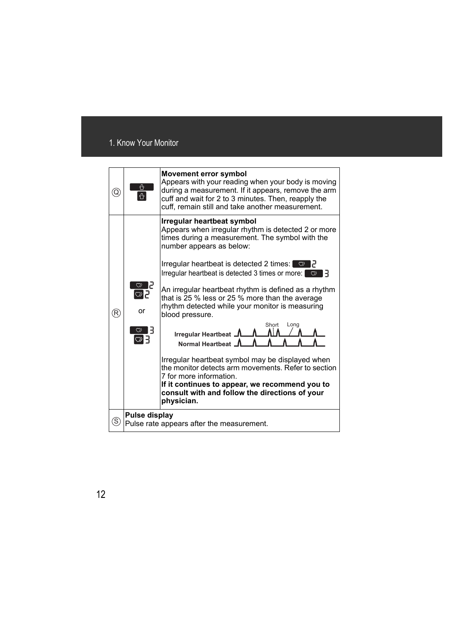| Q  | ⇧<br>ペ                                                     | <b>Movement error symbol</b><br>Appears with your reading when your body is moving<br>during a measurement. If it appears, remove the arm<br>cuff and wait for 2 to 3 minutes. Then, reapply the<br>cuff, remain still and take another measurement.                                                                                                                                                                                                                                 |
|----|------------------------------------------------------------|--------------------------------------------------------------------------------------------------------------------------------------------------------------------------------------------------------------------------------------------------------------------------------------------------------------------------------------------------------------------------------------------------------------------------------------------------------------------------------------|
| R) | $\circ$ $\leq$<br>$\heartsuit$ .<br>or                     | Irregular heartbeat symbol<br>Appears when irregular rhythm is detected 2 or more<br>times during a measurement. The symbol with the<br>number appears as below:<br>Irregular heartbeat is detected 2 times: $\heartsuit$ $\partial$<br>Irregular heartbeat is detected 3 times or more:<br>$\circ$<br>An irregular heartbeat rhythm is defined as a rhythm<br>that is 25 % less or 25 % more than the average<br>rhythm detected while your monitor is measuring<br>blood pressure. |
|    | $\overline{\circ}$<br>$\heartsuit$ E                       | Short<br>Long<br>Irregular Heartbeat 1<br>Normal Heartbeat J<br>Irregular heartbeat symbol may be displayed when<br>the monitor detects arm movements. Refer to section<br>7 for more information.<br>If it continues to appear, we recommend you to<br>consult with and follow the directions of your<br>physician.                                                                                                                                                                 |
| S. | Pulse display<br>Pulse rate appears after the measurement. |                                                                                                                                                                                                                                                                                                                                                                                                                                                                                      |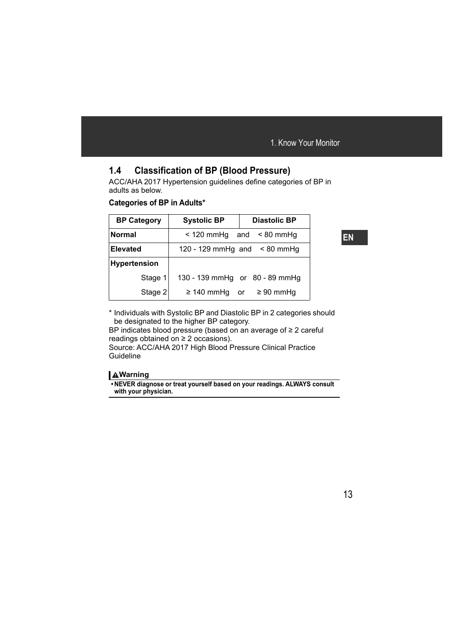# **1.4 Classification of BP (Blood Pressure)**

ACC/AHA 2017 Hypertension guidelines define categories of BP in adults as below.

### **Categories of BP in Adults\***

| <b>BP Category</b>  | <b>Systolic BP</b> | <b>Diastolic BP</b>               |
|---------------------|--------------------|-----------------------------------|
| <b>Normal</b>       | $<$ 120 mmHg       | $< 80$ mmHg<br>and                |
| <b>Elevated</b>     |                    | 120 - 129 mmHg and $\leq 80$ mmHg |
| <b>Hypertension</b> |                    |                                   |
| Stage 1             |                    | 130 - 139 mmHg or 80 - 89 mmHg    |
| Stage 2             | $\geq$ 140 mmHg or | $\geq 90$ mmHg                    |

\* Individuals with Systolic BP and Diastolic BP in 2 categories should be designated to the higher BP category.

BP indicates blood pressure (based on an average of ≥ 2 careful readings obtained on  $\geq 2$  occasions).

Source: ACC/AHA 2017 High Blood Pressure Clinical Practice Guideline

### **Warning**

**• NEVER diagnose or treat yourself based on your readings. ALWAYS consult with your physician.**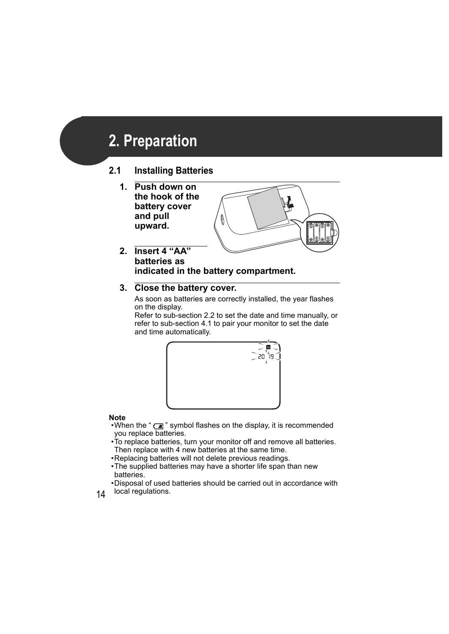# **2. Preparation**

# **2.1 Installing Batteries**

**1. Push down on the hook of the battery cover and pull upward.**



**2. Insert 4 "AA" batteries as indicated in the battery compartment.**

## **3. Close the battery cover.**

As soon as batteries are correctly installed, the year flashes on the display.

Refer to sub-section 2.2 to set the date and time manually, or refer to sub-section 4.1 to pair your monitor to set the date and time automatically.



#### **Note**

- •When the " $\sqrt{a}$ " symbol flashes on the display, it is recommended you replace batteries.
- •To replace batteries, turn your monitor off and remove all batteries. Then replace with 4 new batteries at the same time.
- •Replacing batteries will not delete previous readings.
- •The supplied batteries may have a shorter life span than new batteries.
- •Disposal of used batteries should be carried out in accordance with local regulations.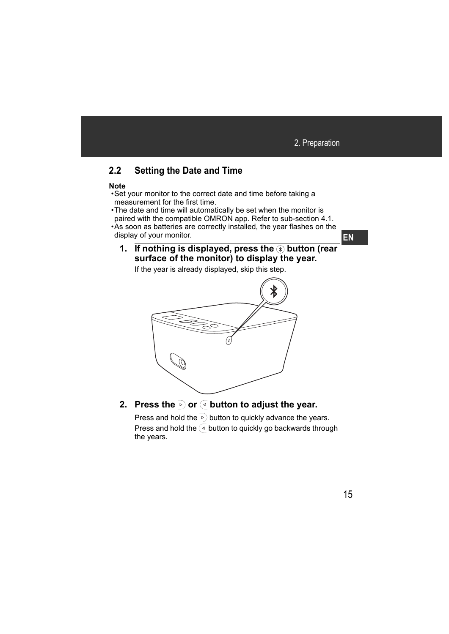# **2.2 Setting the Date and Time**

#### **Note**

- •Set your monitor to the correct date and time before taking a measurement for the first time.
- •The date and time will automatically be set when the monitor is paired with the compatible OMRON app. Refer to sub-section 4.1.
- •As soon as batteries are correctly installed, the year flashes on the display of your monitor.
	- **1. If nothing is displayed, press the <sup>3</sup> button (rear surface of the monitor) to display the year.**

If the year is already displayed, skip this step.



**2. Press the**  $\triangleright$  **or**  $\overline{\triangleleft}$  **button to adjust the year.** 

Press and hold the  $\triangleright$  button to quickly advance the years. Press and hold the  $\leq$  button to quickly go backwards through the years.

**EN**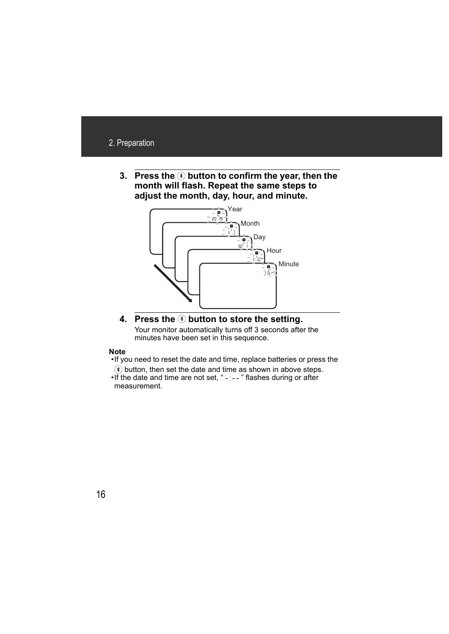**3. Press the**  $\circledast$  **button to confirm the year, then the month will flash. Repeat the same steps to adjust the month, day, hour, and minute.**



### **4. Press the button to store the setting.** Your monitor automatically turns off 3 seconds after the

minutes have been set in this sequence.

#### **Note**

•If you need to reset the date and time, replace batteries or press the

 $\circledast$  button, then set the date and time as shown in above steps.

 $\cdot$  If the date and time are not set, " $-$  -  $\cdot$  " flashes during or after measurement.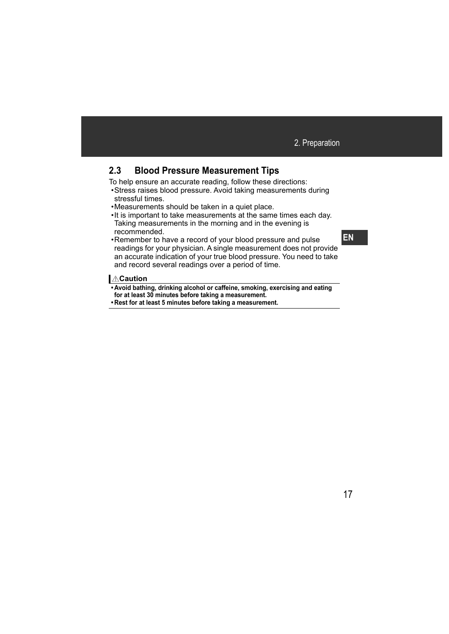# **2.3 Blood Pressure Measurement Tips**

To help ensure an accurate reading, follow these directions:

- •Stress raises blood pressure. Avoid taking measurements during stressful times.
- •Measurements should be taken in a quiet place.
- •It is important to take measurements at the same times each day. Taking measurements in the morning and in the evening is recommended.
- •Remember to have a record of your blood pressure and pulse readings for your physician. A single measurement does not provide an accurate indication of your true blood pressure. You need to take and record several readings over a period of time.

### **I** ∆Caution

**• Avoid bathing, drinking alcohol or caffeine, smoking, exercising and eating for at least 30 minutes before taking a measurement.**

**• Rest for at least 5 minutes before taking a measurement.**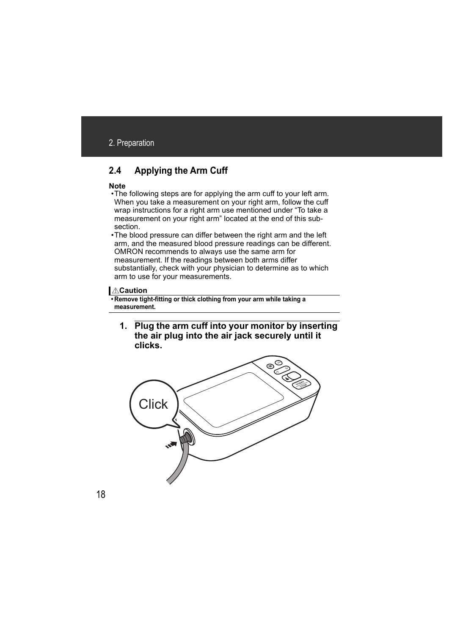# **2.4 Applying the Arm Cuff**

#### **Note**

- •The following steps are for applying the arm cuff to your left arm. When you take a measurement on your right arm, follow the cuff wrap instructions for a right arm use mentioned under "To take a measurement on your right arm" located at the end of this subsection.
- •The blood pressure can differ between the right arm and the left arm, and the measured blood pressure readings can be different. OMRON recommends to always use the same arm for measurement. If the readings between both arms differ substantially, check with your physician to determine as to which arm to use for your measurements.

### *<u>***∆Caution</u>**

**• Remove tight-fitting or thick clothing from your arm while taking a measurement.**

**1. Plug the arm cuff into your monitor by inserting the air plug into the air jack securely until it clicks.**

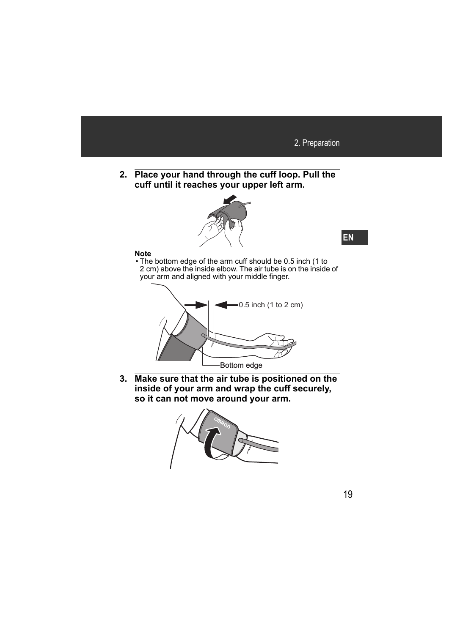**2. Place your hand through the cuff loop. Pull the cuff until it reaches your upper left arm.**

![](_page_19_Picture_2.jpeg)

#### **Note**

• The bottom edge of the arm cuff should be 0.5 inch (1 to 2 cm) above the inside elbow. The air tube is on the inside of your arm and aligned with your middle finger.

![](_page_19_Figure_5.jpeg)

**3. Make sure that the air tube is positioned on the inside of your arm and wrap the cuff securely, so it can not move around your arm.**

![](_page_19_Picture_7.jpeg)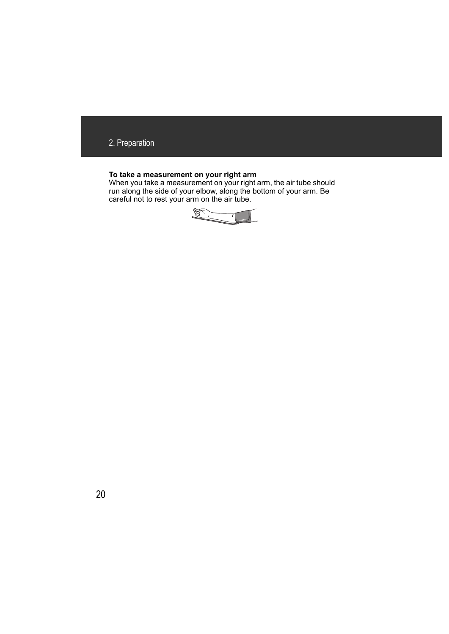### **To take a measurement on your right arm**

When you take a measurement on your right arm, the air tube should run along the side of your elbow, along the bottom of your arm. Be careful not to rest your arm on the air tube.

![](_page_20_Picture_3.jpeg)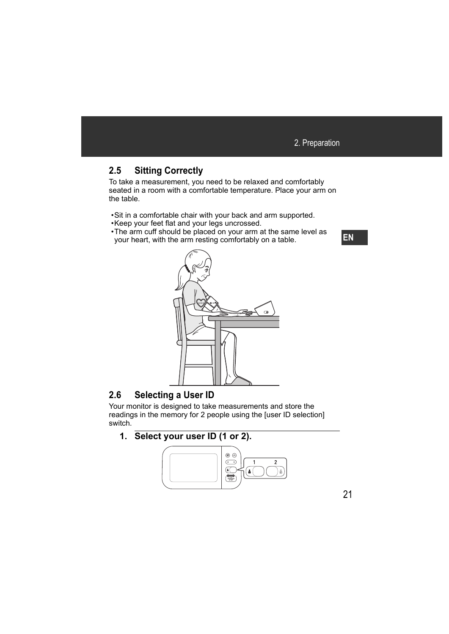# **2.5 Sitting Correctly**

To take a measurement, you need to be relaxed and comfortably seated in a room with a comfortable temperature. Place your arm on the table.

- •Sit in a comfortable chair with your back and arm supported.
- •Keep your feet flat and your legs uncrossed.
- •The arm cuff should be placed on your arm at the same level as your heart, with the arm resting comfortably on a table.

![](_page_21_Picture_6.jpeg)

# **2.6 Selecting a User ID**

Your monitor is designed to take measurements and store the readings in the memory for 2 people using the [user ID selection] switch<sup>-</sup>

# **1. Select your user ID (1 or 2).**

![](_page_21_Picture_10.jpeg)

**EN**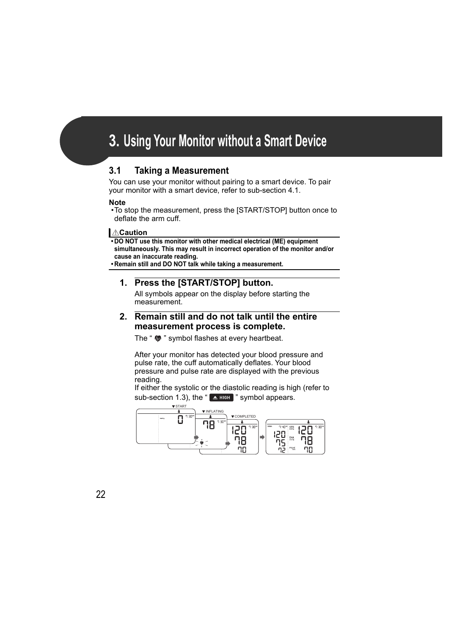# **3. Using Your Monitor without a Smart Device**

# **3.1 Taking a Measurement**

You can use your monitor without pairing to a smart device. To pair your monitor with a smart device, refer to sub-section 4.1.

### **Note**

•To stop the measurement, press the [START/STOP] button once to deflate the arm cuff.

## **Caution**

**• DO NOT use this monitor with other medical electrical (ME) equipment simultaneously. This may result in incorrect operation of the monitor and/or cause an inaccurate reading.**

**• Remain still and DO NOT talk while taking a measurement.**

## **1. Press the [START/STOP] button.**

All symbols appear on the display before starting the measurement.

### **2. Remain still and do not talk until the entire measurement process is complete.**

The "  $\bullet$  " symbol flashes at every heartbeat.

After your monitor has detected your blood pressure and pulse rate, the cuff automatically deflates. Your blood pressure and pulse rate are displayed with the previous reading.

If either the systolic or the diastolic reading is high (refer to sub-section 1.3), the " $\blacktriangle$  High " symbol appears.

![](_page_22_Figure_14.jpeg)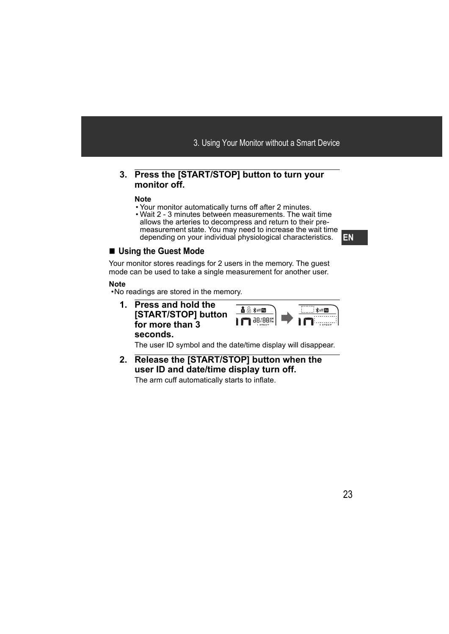### **3. Press the [START/STOP] button to turn your monitor off.**

#### **Note**

- Your monitor automatically turns off after 2 minutes.
- Wait 2 3 minutes between measurements. The wait time allows the arteries to decompress and return to their premeasurement state. You may need to increase the wait time depending on your individual physiological characteristics.

## **Using the Guest Mode**

Your monitor stores readings for 2 users in the memory. The guest mode can be used to take a single measurement for another user.

### **Note**

•No readings are stored in the memory.

**1. Press and hold the**   $\lambda$   $\odot$   $\ast$  off  $\blacksquare$ \*sff **[START/STOP] button 88/88 for more than 3 seconds.**

The user ID symbol and the date/time display will disappear.

**2. Release the [START/STOP] button when the user ID and date/time display turn off.**

The arm cuff automatically starts to inflate.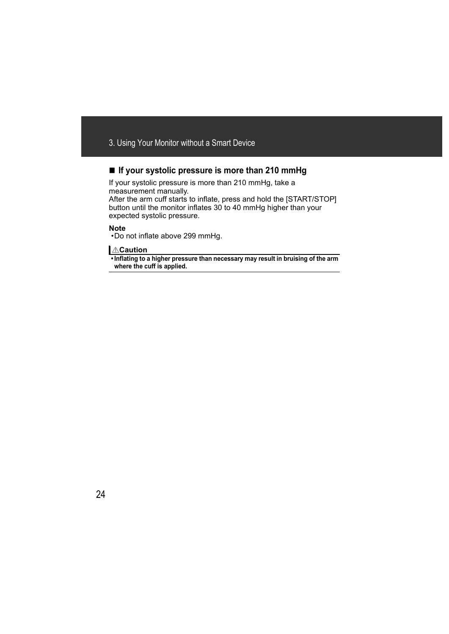## **If your systolic pressure is more than 210 mmHg**

If your systolic pressure is more than 210 mmHg, take a measurement manually.

After the arm cuff starts to inflate, press and hold the [START/STOP] button until the monitor inflates 30 to 40 mmHg higher than your expected systolic pressure.

#### **Note**

•Do not inflate above 299 mmHg.

### **<u>A</u>Caution**

**• Inflating to a higher pressure than necessary may result in bruising of the arm where the cuff is applied.**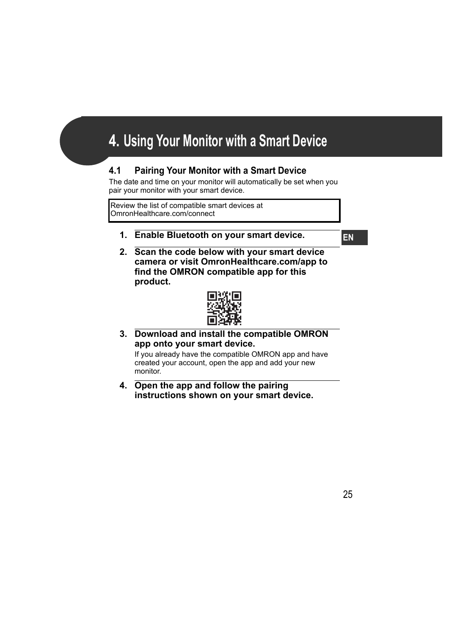# **4. Using Your Monitor with a Smart Device**

# **4.1 Pairing Your Monitor with a Smart Device**

The date and time on your monitor will automatically be set when you pair your monitor with your smart device.

Review the list of compatible smart devices at OmronHealthcare.com/connect

**1. Enable Bluetooth on your smart device.**

**EN**

**2. Scan the code below with your smart device camera or visit OmronHealthcare.com/app to find the OMRON compatible app for this product.**

![](_page_25_Picture_7.jpeg)

**3. Download and install the compatible OMRON app onto your smart device.**

If you already have the compatible OMRON app and have created your account, open the app and add your new monitor.

**4. Open the app and follow the pairing instructions shown on your smart device.**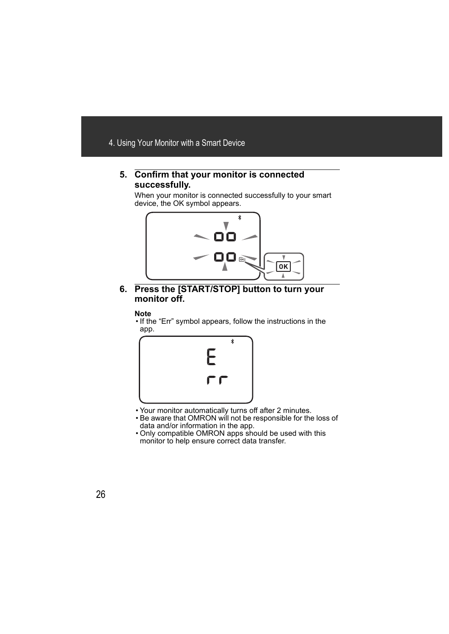### **5. Confirm that your monitor is connected successfully.**

When your monitor is connected successfully to your smart device, the OK symbol appears.

![](_page_26_Picture_3.jpeg)

**6. Press the [START/STOP] button to turn your monitor off.**

#### **Note**

• If the "Err" symbol appears, follow the instructions in the app.

![](_page_26_Picture_7.jpeg)

- Your monitor automatically turns off after 2 minutes.
- Be aware that OMRON will not be responsible for the loss of data and/or information in the app.
- Only compatible OMRON apps should be used with this monitor to help ensure correct data transfer.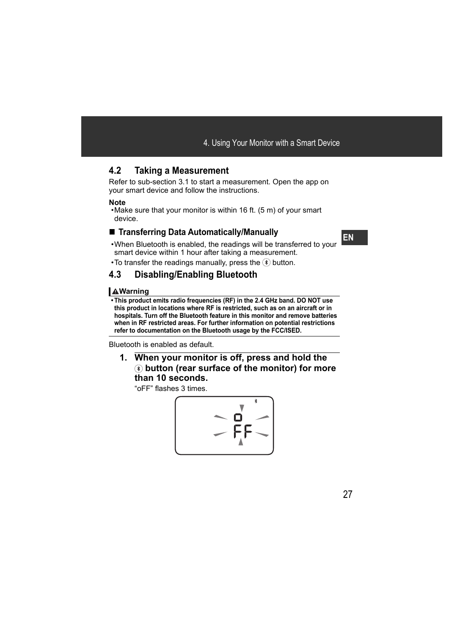# **4.2 Taking a Measurement**

Refer to sub-section 3.1 to start a measurement. Open the app on your smart device and follow the instructions.

### **Note**

•Make sure that your monitor is within 16 ft. (5 m) of your smart device.

## **Transferring Data Automatically/Manually**

- •When Bluetooth is enabled, the readings will be transferred to your smart device within 1 hour after taking a measurement.
- To transfer the readings manually, press the  $\Diamond$  button.

# **4.3 Disabling/Enabling Bluetooth**

## **Warning**

**• This product emits radio frequencies (RF) in the 2.4 GHz band. DO NOT use this product in locations where RF is restricted, such as on an aircraft or in hospitals. Turn off the Bluetooth feature in this monitor and remove batteries when in RF restricted areas. For further information on potential restrictions refer to documentation on the Bluetooth usage by the FCC/ISED.**

Bluetooth is enabled as default.

**1. When your monitor is off, press and hold the button (rear surface of the monitor) for more than 10 seconds.**

"oFF" flashes 3 times.

$$
\left(\begin{array}{c}\n\overrightarrow{a} \\
\overrightarrow{p} \\
\overrightarrow{p} \\
\overrightarrow{p}\n\end{array}\right)
$$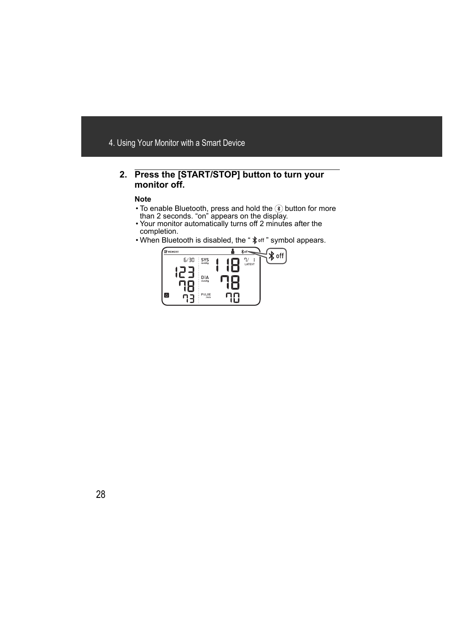### **2. Press the [START/STOP] button to turn your monitor off.**

#### **Note**

- To enable Bluetooth, press and hold the  $(*)$  button for more than 2 seconds. "on" appears on the display.
- Your monitor automatically turns off 2 minutes after the completion.
- When Bluetooth is disabled, the "  $\frac{1}{2}$  off " symbol appears.

![](_page_28_Figure_6.jpeg)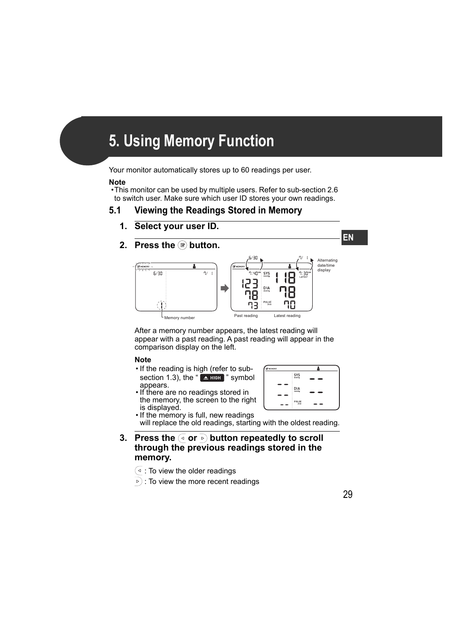# **5. Using Memory Function**

Your monitor automatically stores up to 60 readings per user.

#### **Note**

•This monitor can be used by multiple users. Refer to sub-section 2.6 to switch user. Make sure which user ID stores your own readings.

# **5.1 Viewing the Readings Stored in Memory**

- **1. Select your user ID.**
- **2. Press the Dutton.**

![](_page_29_Figure_7.jpeg)

After a memory number appears, the latest reading will appear with a past reading. A past reading will appear in the comparison display on the left.

### **Note**

- If the reading is high (refer to subsection 1.3), the " $\triangle$  High " symbol appears.
- If there are no readings stored in the memory, the screen to the right is displayed.

![](_page_29_Figure_12.jpeg)

• If the memory is full, new readings will replace the old readings, starting with the oldest reading.

- **3. Press the**  $\boxed{\triangleleft}$  **or**  $\boxed{\triangleright}$  **button repeatedly to scroll through the previous readings stored in the memory.**
	- $\left( \triangleleft$  : To view the older readings
	- $\triangleright$  : To view the more recent readings

**EN**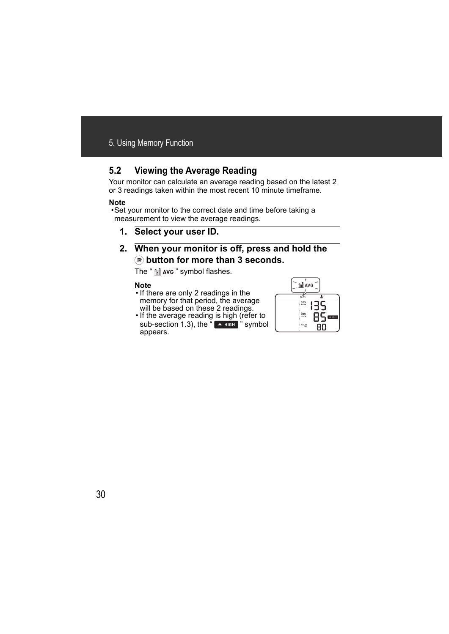# **5.2 Viewing the Average Reading**

Your monitor can calculate an average reading based on the latest 2 or 3 readings taken within the most recent 10 minute timeframe.

### **Note**

•Set your monitor to the correct date and time before taking a measurement to view the average readings.

- **1. Select your user ID.**
- **2. When your monitor is off, press and hold the button for more than 3 seconds.**

The " $\frac{1}{100}$  ave " symbol flashes.

#### **Note**

- If there are only 2 readings in the memory for that period, the average will be based on these 2 readings.
- If the average reading is high (refer to sub-section 1.3), the " $\blacktriangle$  High " symbol appears.

![](_page_30_Picture_11.jpeg)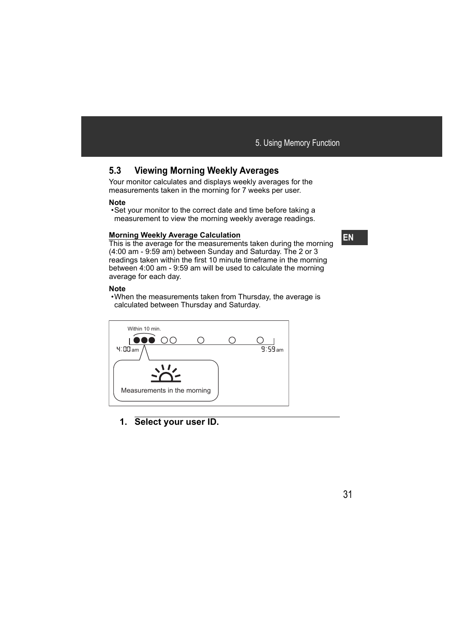# **5.3 Viewing Morning Weekly Averages**

Your monitor calculates and displays weekly averages for the measurements taken in the morning for 7 weeks per user.

### **Note**

•Set your monitor to the correct date and time before taking a measurement to view the morning weekly average readings.

### **Morning Weekly Average Calculation**

This is the average for the measurements taken during the morning (4:00 am - 9:59 am) between Sunday and Saturday. The 2 or 3 readings taken within the first 10 minute timeframe in the morning between 4:00 am - 9:59 am will be used to calculate the morning average for each day.

#### **Note**

•When the measurements taken from Thursday, the average is calculated between Thursday and Saturday.

![](_page_31_Figure_9.jpeg)

## **1. Select your user ID.**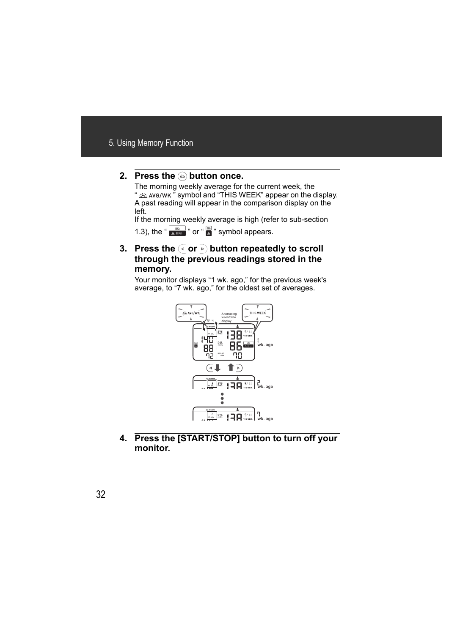## **2. Press the <b>Button** once.

The morning weekly average for the current week, the " $\frac{300}{100}$  and "THIS WEEK" appear on the display. A past reading will appear in the comparison display on the left.

If the morning weekly average is high (refer to sub-section 1.3), the " $\frac{36}{4}$  mor "  $\frac{1}{4}$ " symbol appears.

## **3. Press the**  $\boxed{4}$  **or**  $\boxed{6}$  **button repeatedly to scroll through the previous readings stored in the memory.**

Your monitor displays "1 wk. ago," for the previous week's average, to "7 wk. ago," for the oldest set of averages.

![](_page_32_Figure_6.jpeg)

**4. Press the [START/STOP] button to turn off your monitor.**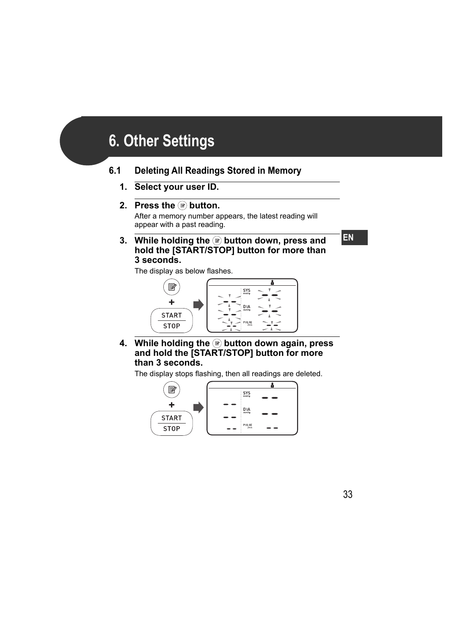# **6. Other Settings**

# **6.1 Deleting All Readings Stored in Memory**

**1. Select your user ID.**

### **2.** Press the **D** button.

After a memory number appears, the latest reading will appear with a past reading.

**3. While holding the button down, press and hold the [START/STOP] button for more than 3 seconds.**

The display as below flashes.

![](_page_33_Figure_7.jpeg)

**4. While holding the <b>s** button down again, press **and hold the [START/STOP] button for more than 3 seconds.**

The display stops flashing, then all readings are deleted.

![](_page_33_Figure_10.jpeg)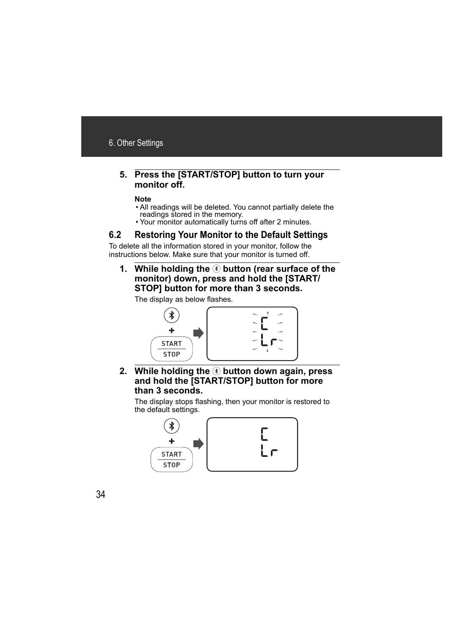### **5. Press the [START/STOP] button to turn your monitor off.**

#### **Note**

- All readings will be deleted. You cannot partially delete the readings stored in the memory.
- Your monitor automatically turns off after 2 minutes.

# **6.2 Restoring Your Monitor to the Default Settings**

To delete all the information stored in your monitor, follow the instructions below. Make sure that your monitor is turned off.

**1. While holding the**  $\circledast$  button (rear surface of the **monitor) down, press and hold the [START/ STOP] button for more than 3 seconds.**

The display as below flashes.

![](_page_34_Figure_9.jpeg)

**2. While holding the**  $\circledast$  **button down again, press and hold the [START/STOP] button for more than 3 seconds.**

The display stops flashing, then your monitor is restored to the default settings.

![](_page_34_Figure_12.jpeg)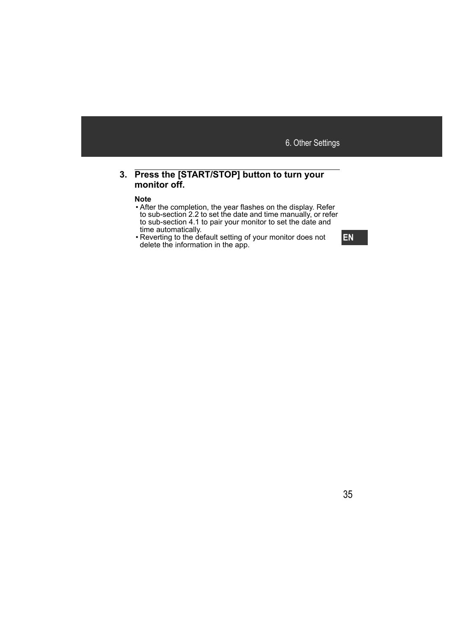### **3. Press the [START/STOP] button to turn your monitor off.**

#### **Note**

- After the completion, the year flashes on the display. Refer to sub-section 2.2 to set the date and time manually, or refer to sub-section 4.1 to pair your monitor to set the date and time automatically.
- Reverting to the default setting of your monitor does not delete the information in the app.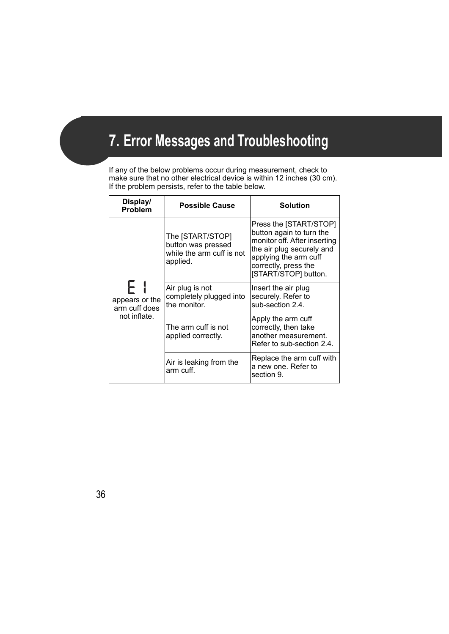# **7. Error Messages and Troubleshooting**

If any of the below problems occur during measurement, check to make sure that no other electrical device is within 12 inches (30 cm). If the problem persists, refer to the table below.

| Display/<br><b>Problem</b>                            | <b>Possible Cause</b>                                                           | <b>Solution</b>                                                                                                                                                                          |
|-------------------------------------------------------|---------------------------------------------------------------------------------|------------------------------------------------------------------------------------------------------------------------------------------------------------------------------------------|
| ┝╎<br>appears or the<br>arm cuff does<br>not inflate. | The [START/STOP]<br>button was pressed<br>while the arm cuff is not<br>applied. | Press the [START/STOP]<br>button again to turn the<br>monitor off. After inserting<br>the air plug securely and<br>applying the arm cuff<br>correctly, press the<br>[START/STOP] button. |
|                                                       | Air plug is not<br>completely plugged into<br>the monitor.                      | Insert the air plug<br>securely. Refer to<br>sub-section 2.4.                                                                                                                            |
|                                                       | The arm cuff is not<br>applied correctly.                                       | Apply the arm cuff<br>correctly, then take<br>another measurement.<br>Refer to sub-section 2.4.                                                                                          |
|                                                       | Air is leaking from the<br>arm cuff.                                            | Replace the arm cuff with<br>a new one. Refer to<br>section 9.                                                                                                                           |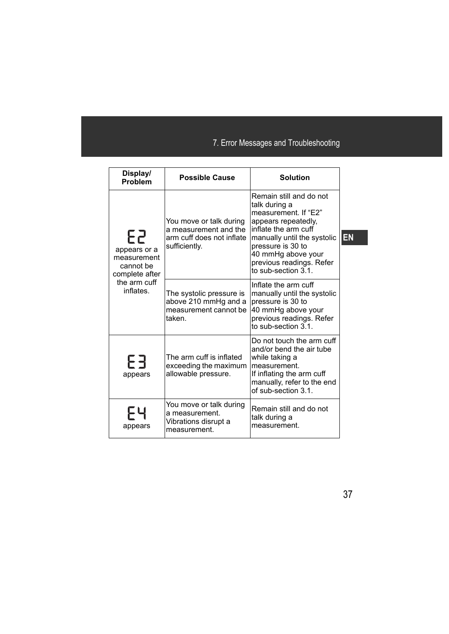| Display/<br><b>Problem</b>                                                                    | <b>Possible Cause</b>                                                                          | <b>Solution</b>                                                                                                                                                                                                                              |    |
|-----------------------------------------------------------------------------------------------|------------------------------------------------------------------------------------------------|----------------------------------------------------------------------------------------------------------------------------------------------------------------------------------------------------------------------------------------------|----|
| 25<br>appears or a<br>measurement<br>cannot be<br>complete after<br>the arm cuff<br>inflates. | You move or talk during<br>a measurement and the<br>arm cuff does not inflate<br>sufficiently. | Remain still and do not<br>talk during a<br>measurement. If "E2"<br>appears repeatedly,<br>inflate the arm cuff<br>manually until the systolic<br>pressure is 30 to<br>40 mmHg above your<br>previous readings. Refer<br>to sub-section 3.1. | EN |
|                                                                                               | The systolic pressure is<br>above 210 mmHg and a<br>measurement cannot be<br>taken.            | Inflate the arm cuff<br>manually until the systolic<br>pressure is 30 to<br>40 mmHg above your<br>previous readings. Refer<br>to sub-section 3.1.                                                                                            |    |
| FF<br>appears                                                                                 | The arm cuff is inflated<br>exceeding the maximum<br>allowable pressure.                       | Do not touch the arm cuff<br>and/or bend the air tube<br>while taking a<br>measurement.<br>If inflating the arm cuff<br>manually, refer to the end<br>of sub-section 3.1.                                                                    |    |
| appears                                                                                       | You move or talk during<br>a measurement.<br>Vibrations disrupt a<br>measurement.              | Remain still and do not<br>talk during a<br>measurement.                                                                                                                                                                                     |    |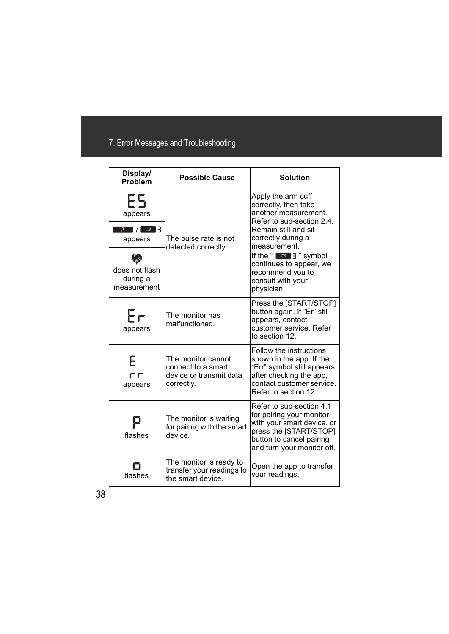# 7. Error Messages and Troubleshooting

| Display/<br><b>Problem</b>                         | <b>Possible Cause</b>                                                             | <b>Solution</b>                                                                                                                                                        |
|----------------------------------------------------|-----------------------------------------------------------------------------------|------------------------------------------------------------------------------------------------------------------------------------------------------------------------|
| ES<br>appears<br>$\boxed{\circ}$<br>☆ /<br>appears | The pulse rate is not<br>detected correctly.                                      | Apply the arm cuff<br>correctly, then take<br>another measurement.<br>Refer to sub-section 2.4.<br>Remain still and sit<br>correctly during a<br>measurement.          |
| does not flash<br>during a<br>measurement          |                                                                                   | If the " $\boxed{\circ}$ $\frac{1}{3}$ " symbol<br>continues to appear, we<br>recommend you to<br>consult with your<br>physician.                                      |
| Fг<br>appears                                      | The monitor has<br>malfunctioned.                                                 | Press the [START/STOP]<br>button again. If "Er" still<br>appears, contact<br>customer service. Refer<br>to section 12.                                                 |
| Ε<br>ГГ<br>appears                                 | The monitor cannot<br>connect to a smart<br>device or transmit data<br>correctly. | Follow the instructions<br>shown in the app. If the<br>"Err" symbol still appears<br>after checking the app,<br>contact customer service.<br>Refer to section 12.      |
| flashes                                            | The monitor is waiting<br>for pairing with the smart<br>device.                   | Refer to sub-section 4.1<br>for pairing your monitor<br>with your smart device, or<br>press the [START/STOP]<br>button to cancel pairing<br>and turn your monitor off. |
| flashes                                            | The monitor is ready to<br>transfer your readings to<br>the smart device.         | Open the app to transfer<br>your readings.                                                                                                                             |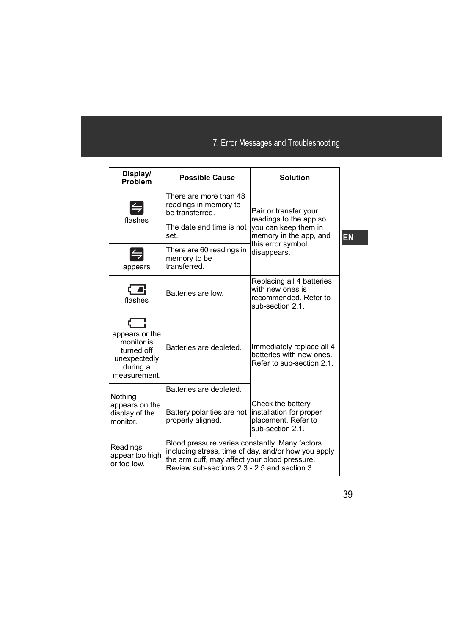| Display/<br>Problem                                                                    | <b>Possible Cause</b>                                                                                                                           | <b>Solution</b>                                                                                                                       |
|----------------------------------------------------------------------------------------|-------------------------------------------------------------------------------------------------------------------------------------------------|---------------------------------------------------------------------------------------------------------------------------------------|
| $\left  \rightleftharpoons$<br>flashes                                                 | There are more than 48<br>readings in memory to<br>be transferred.                                                                              | Pair or transfer your<br>readings to the app so<br>you can keep them in<br>memory in the app, and<br>this error symbol<br>disappears. |
|                                                                                        | The date and time is not<br>set.                                                                                                                |                                                                                                                                       |
| appears                                                                                | There are 60 readings in<br>memory to be<br>transferred.                                                                                        |                                                                                                                                       |
| $\overline{a}$<br>flashes                                                              | Batteries are low.                                                                                                                              | Replacing all 4 batteries<br>with new ones is<br>recommended. Refer to<br>sub-section 2.1.                                            |
| appears or the<br>monitor is<br>turned off<br>unexpectedly<br>during a<br>measurement. | Batteries are depleted.                                                                                                                         | Immediately replace all 4<br>batteries with new ones.<br>Refer to sub-section 2.1.                                                    |
| Nothing                                                                                | Batteries are depleted.                                                                                                                         |                                                                                                                                       |
| appears on the<br>display of the<br>monitor.                                           | Battery polarities are not<br>properly aligned.                                                                                                 | Check the battery<br>installation for proper<br>placement. Refer to<br>sub-section 2.1.                                               |
| Readings<br>appear too high<br>or too low.                                             | Blood pressure varies constantly. Many factors<br>the arm cuff, may affect your blood pressure.<br>Review sub-sections 2.3 - 2.5 and section 3. | including stress, time of day, and/or how you apply                                                                                   |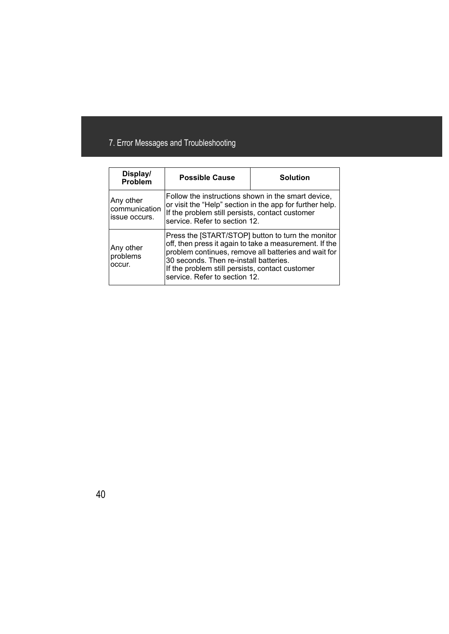# 7. Error Messages and Troubleshooting

| Display/<br><b>Problem</b>                  | <b>Possible Cause</b>                                                                                                                                                                                                                                                                             | <b>Solution</b>                                          |
|---------------------------------------------|---------------------------------------------------------------------------------------------------------------------------------------------------------------------------------------------------------------------------------------------------------------------------------------------------|----------------------------------------------------------|
| Any other<br>communication<br>issue occurs. | Follow the instructions shown in the smart device,<br>If the problem still persists, contact customer<br>service. Refer to section 12.                                                                                                                                                            | or visit the "Help" section in the app for further help. |
| Any other<br>problems<br>occur.             | Press the [START/STOP] button to turn the monitor<br>off, then press it again to take a measurement. If the<br>problem continues, remove all batteries and wait for<br>30 seconds. Then re-install batteries.<br>If the problem still persists, contact customer<br>service. Refer to section 12. |                                                          |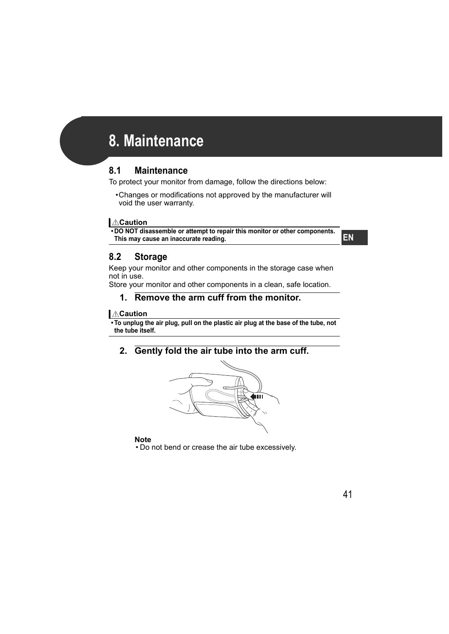# **8. Maintenance**

# **8.1 Maintenance**

To protect your monitor from damage, follow the directions below:

•Changes or modifications not approved by the manufacturer will void the user warranty.

### **Caution**

**• DO NOT disassemble or attempt to repair this monitor or other components. This may cause an inaccurate reading.**

**EN**

# **8.2 Storage**

Keep your monitor and other components in the storage case when not in use.

Store your monitor and other components in a clean, safe location.

## **1. Remove the arm cuff from the monitor.**

## **Caution**

**• To unplug the air plug, pull on the plastic air plug at the base of the tube, not the tube itself.**

**2. Gently fold the air tube into the arm cuff.**

![](_page_41_Picture_14.jpeg)

### **Note**

• Do not bend or crease the air tube excessively.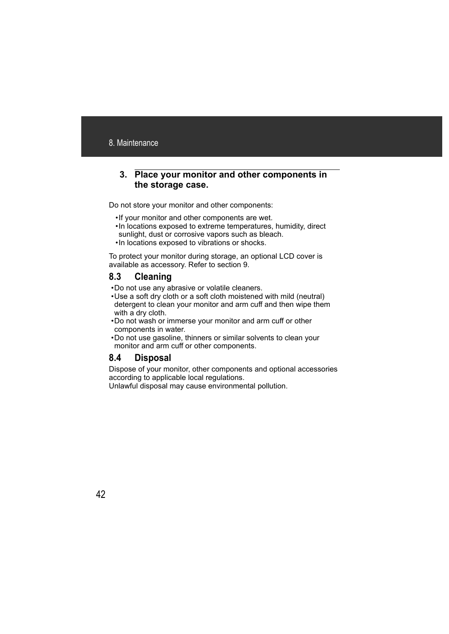### **3. Place your monitor and other components in the storage case.**

Do not store your monitor and other components:

- •If your monitor and other components are wet.
- •In locations exposed to extreme temperatures, humidity, direct sunlight, dust or corrosive vapors such as bleach.
- •In locations exposed to vibrations or shocks.

To protect your monitor during storage, an optional LCD cover is available as accessory. Refer to section 9.

# **8.3 Cleaning**

- •Do not use any abrasive or volatile cleaners.
- •Use a soft dry cloth or a soft cloth moistened with mild (neutral) detergent to clean your monitor and arm cuff and then wipe them with a dry cloth.
- •Do not wash or immerse your monitor and arm cuff or other components in water.
- •Do not use gasoline, thinners or similar solvents to clean your monitor and arm cuff or other components.

# **8.4 Disposal**

Dispose of your monitor, other components and optional accessories according to applicable local regulations.

Unlawful disposal may cause environmental pollution.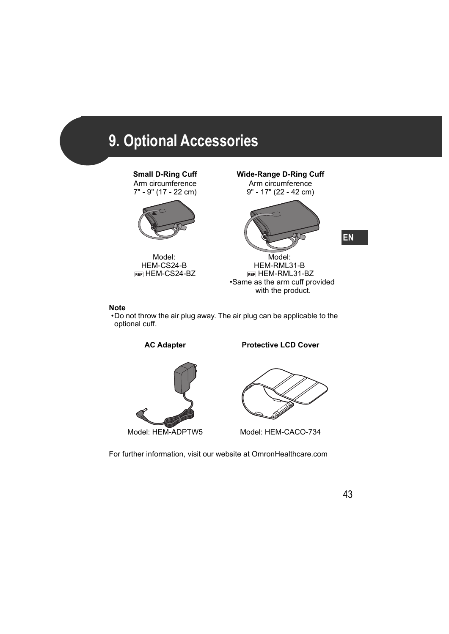# **9. Optional Accessories**

Arm circumference 7" - 9" (17 - 22 cm)

![](_page_43_Picture_2.jpeg)

Model: HEM-CS24-B REFI HEM-CS24-BZ

**Small D-Ring Cuff Wide-Range D-Ring Cuff**

Arm circumference 9" - 17" (22 - 42 cm)

![](_page_43_Picture_6.jpeg)

Model: HEM-RML31-B REF HEM-RML31-BZ •Same as the arm cuff provided with the product.

#### **Note**

•Do not throw the air plug away. The air plug can be applicable to the optional cuff.

AC Adapter **Protective LCD Cover** 

![](_page_43_Picture_12.jpeg)

Model: HEM-ADPTW5 Model: HEM-CACO-734

For further information, visit our website at OmronHealthcare.com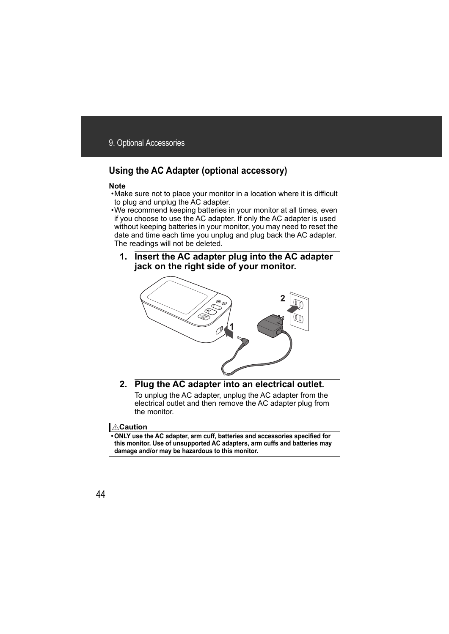# **Using the AC Adapter (optional accessory)**

### **Note**

- •Make sure not to place your monitor in a location where it is difficult to plug and unplug the AC adapter.
- •We recommend keeping batteries in your monitor at all times, even if you choose to use the AC adapter. If only the AC adapter is used without keeping batteries in your monitor, you may need to reset the date and time each time you unplug and plug back the AC adapter. The readings will not be deleted.
	- **1. Insert the AC adapter plug into the AC adapter jack on the right side of your monitor.**

![](_page_44_Figure_6.jpeg)

**2. Plug the AC adapter into an electrical outlet.** To unplug the AC adapter, unplug the AC adapter from the electrical outlet and then remove the AC adapter plug from the monitor.

## **Caution**

**• ONLY use the AC adapter, arm cuff, batteries and accessories specified for this monitor. Use of unsupported AC adapters, arm cuffs and batteries may damage and/or may be hazardous to this monitor.**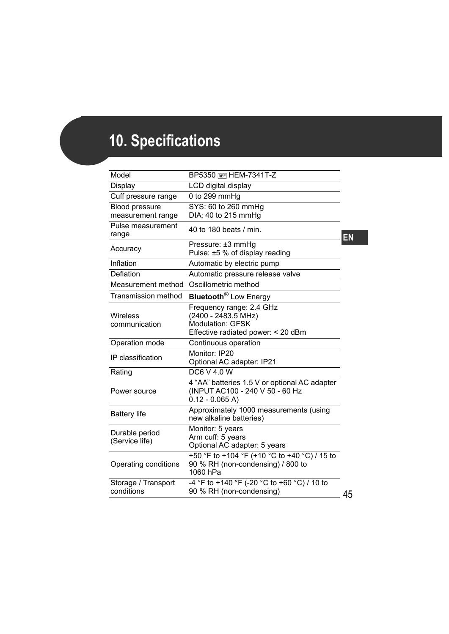# **10. Specifications**

| Model                               | <b>BP5350 REF HEM-7341T-Z</b>                                                                                    |
|-------------------------------------|------------------------------------------------------------------------------------------------------------------|
| Display                             | LCD digital display                                                                                              |
| Cuff pressure range                 | 0 to 299 mmHg                                                                                                    |
| Blood pressure<br>measurement range | SYS: 60 to 260 mmHg<br>DIA: 40 to 215 mmHg                                                                       |
| Pulse measurement<br>range          | 40 to 180 beats / min.                                                                                           |
| Accuracy                            | Pressure: ±3 mmHg<br>Pulse: ±5 % of display reading                                                              |
| Inflation                           | Automatic by electric pump                                                                                       |
| Deflation                           | Automatic pressure release valve                                                                                 |
| Measurement method                  | Oscillometric method                                                                                             |
| Transmission method                 | <b>Bluetooth<sup>®</sup> Low Energy</b>                                                                          |
| Wireless<br>communication           | Frequency range: 2.4 GHz<br>(2400 - 2483.5 MHz)<br><b>Modulation: GFSK</b><br>Effective radiated power: < 20 dBm |
| Operation mode                      | Continuous operation                                                                                             |
| IP classification                   | Monitor: IP20<br>Optional AC adapter: IP21                                                                       |
| Rating                              | DC6 V 4.0 W                                                                                                      |
| Power source                        | 4 "AA" batteries 1.5 V or optional AC adapter<br>(INPUT AC100 - 240 V 50 - 60 Hz<br>$0.12 - 0.065 A$             |
| <b>Battery life</b>                 | Approximately 1000 measurements (using<br>new alkaline batteries)                                                |
| Durable period<br>(Service life)    | Monitor: 5 years<br>Arm cuff: 5 years<br>Optional AC adapter: 5 years                                            |
| Operating conditions                | +50 °F to +104 °F (+10 °C to +40 °C) / 15 to<br>90 % RH (non-condensing) / 800 to<br>1060 hPa                    |
| Storage / Transport<br>conditions   | -4 °F to +140 °F (-20 °C to +60 °C) / 10 to<br>90 % RH (non-condensing)                                          |

**EN**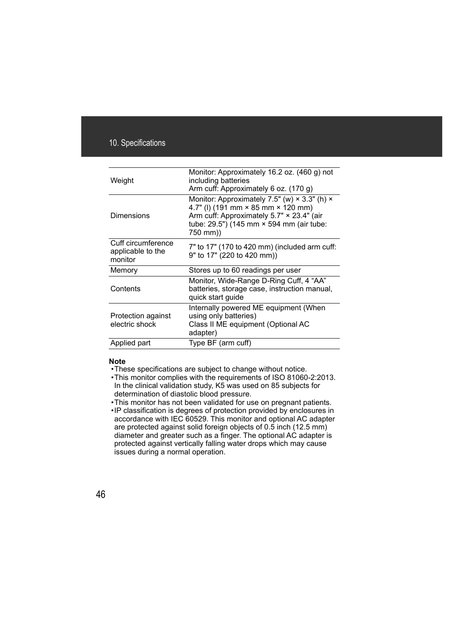| Weight                                             | Monitor: Approximately 16.2 oz. (460 g) not<br>including batteries<br>Arm cuff: Approximately 6 oz. (170 g)                                                                                           |
|----------------------------------------------------|-------------------------------------------------------------------------------------------------------------------------------------------------------------------------------------------------------|
| Dimensions                                         | Monitor: Approximately 7.5" (w) $\times$ 3.3" (h) $\times$<br>4.7" (I) (191 mm × 85 mm × 120 mm)<br>Arm cuff: Approximately 5.7" × 23.4" (air<br>tube: 29.5") (145 mm × 594 mm (air tube:<br>750 mm)) |
| Cuff circumference<br>applicable to the<br>monitor | 7" to 17" (170 to 420 mm) (included arm cuff:<br>9" to 17" (220 to 420 mm))                                                                                                                           |
| Memory                                             | Stores up to 60 readings per user                                                                                                                                                                     |
| Contents                                           | Monitor, Wide-Range D-Ring Cuff, 4 "AA"<br>batteries, storage case, instruction manual,<br>quick start guide                                                                                          |
| Protection against<br>electric shock               | Internally powered ME equipment (When<br>using only batteries)<br>Class II ME equipment (Optional AC<br>adapter)                                                                                      |
| Applied part                                       | Type BF (arm cuff)                                                                                                                                                                                    |

#### **Note**

•These specifications are subject to change without notice.

- •This monitor complies with the requirements of ISO 81060-2:2013. In the clinical validation study, K5 was used on 85 subjects for determination of diastolic blood pressure.
- •This monitor has not been validated for use on pregnant patients.
- •IP classification is degrees of protection provided by enclosures in accordance with IEC 60529. This monitor and optional AC adapter are protected against solid foreign objects of 0.5 inch (12.5 mm) diameter and greater such as a finger. The optional AC adapter is protected against vertically falling water drops which may cause issues during a normal operation.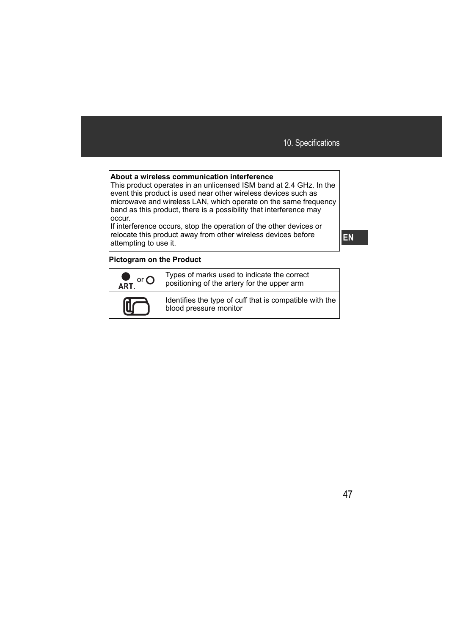#### **About a wireless communication interference**

This product operates in an unlicensed ISM band at 2.4 GHz. In the event this product is used near other wireless devices such as microwave and wireless LAN, which operate on the same frequency band as this product, there is a possibility that interference may occur.

If interference occurs, stop the operation of the other devices or relocate this product away from other wireless devices before attempting to use it.

### **Pictogram on the Product**

| $\bullet$<br>or $\Omega$<br>ART. | Types of marks used to indicate the correct<br>positioning of the artery for the upper arm |
|----------------------------------|--------------------------------------------------------------------------------------------|
|                                  | Identifies the type of cuff that is compatible with the  <br>blood pressure monitor        |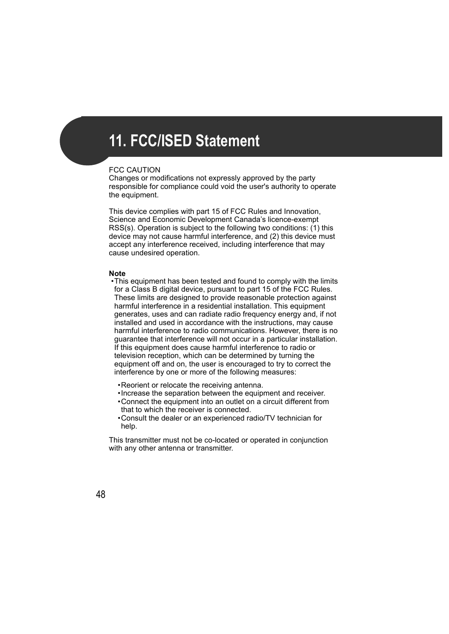# **11. FCC/ISED Statement**

### FCC CAUTION

Changes or modifications not expressly approved by the party responsible for compliance could void the user's authority to operate the equipment.

This device complies with part 15 of FCC Rules and Innovation, Science and Economic Development Canada's licence-exempt RSS(s). Operation is subject to the following two conditions: (1) this device may not cause harmful interference, and (2) this device must accept any interference received, including interference that may cause undesired operation.

#### **Note**

•This equipment has been tested and found to comply with the limits for a Class B digital device, pursuant to part 15 of the FCC Rules. These limits are designed to provide reasonable protection against harmful interference in a residential installation. This equipment generates, uses and can radiate radio frequency energy and, if not installed and used in accordance with the instructions, may cause harmful interference to radio communications. However, there is no guarantee that interference will not occur in a particular installation. If this equipment does cause harmful interference to radio or television reception, which can be determined by turning the equipment off and on, the user is encouraged to try to correct the interference by one or more of the following measures:

- •Reorient or relocate the receiving antenna.
- •Increase the separation between the equipment and receiver.
- •Connect the equipment into an outlet on a circuit different from that to which the receiver is connected.
- •Consult the dealer or an experienced radio/TV technician for help.

This transmitter must not be co-located or operated in conjunction with any other antenna or transmitter.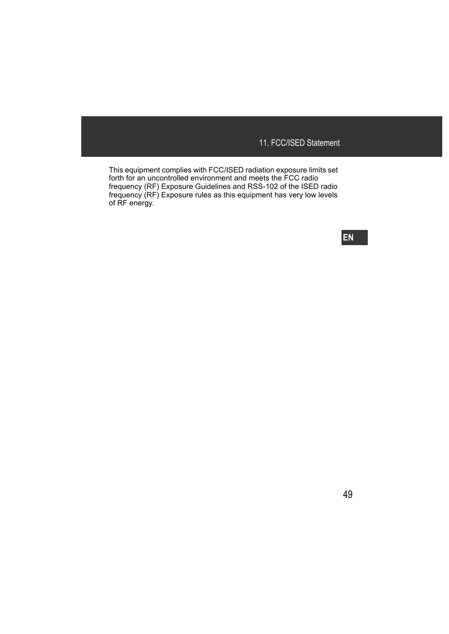This equipment complies with FCC/ISED radiation exposure limits set forth for an uncontrolled environment and meets the FCC radio frequency (RF) Exposure Guidelines and RSS-102 of the ISED radio frequency (RF) Exposure rules as this equipment has very low levels of RF energy.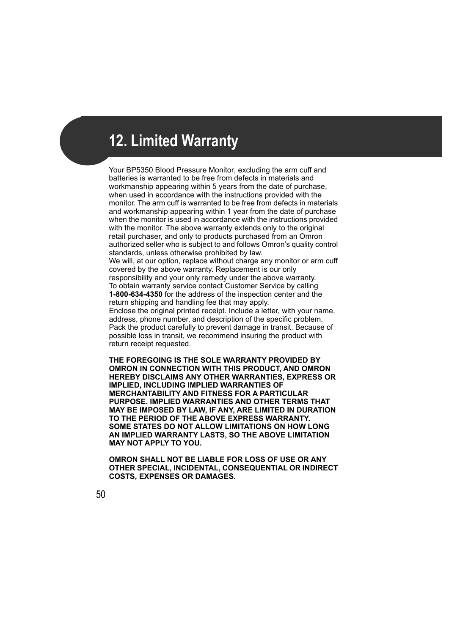# **12. Limited Warranty**

Your BP5350 Blood Pressure Monitor, excluding the arm cuff and batteries is warranted to be free from defects in materials and workmanship appearing within 5 years from the date of purchase, when used in accordance with the instructions provided with the monitor. The arm cuff is warranted to be free from defects in materials and workmanship appearing within 1 year from the date of purchase when the monitor is used in accordance with the instructions provided with the monitor. The above warranty extends only to the original retail purchaser, and only to products purchased from an Omron authorized seller who is subject to and follows Omron's quality control standards, unless otherwise prohibited by law.

We will, at our option, replace without charge any monitor or arm cuff covered by the above warranty. Replacement is our only responsibility and your only remedy under the above warranty. To obtain warranty service contact Customer Service by calling **1-800-634-4350** for the address of the inspection center and the return shipping and handling fee that may apply.

Enclose the original printed receipt. Include a letter, with your name, address, phone number, and description of the specific problem. Pack the product carefully to prevent damage in transit. Because of possible loss in transit, we recommend insuring the product with return receipt requested.

**THE FOREGOING IS THE SOLE WARRANTY PROVIDED BY OMRON IN CONNECTION WITH THIS PRODUCT, AND OMRON HEREBY DISCLAIMS ANY OTHER WARRANTIES, EXPRESS OR IMPLIED, INCLUDING IMPLIED WARRANTIES OF MERCHANTABILITY AND FITNESS FOR A PARTICULAR PURPOSE. IMPLIED WARRANTIES AND OTHER TERMS THAT MAY BE IMPOSED BY LAW, IF ANY, ARE LIMITED IN DURATION TO THE PERIOD OF THE ABOVE EXPRESS WARRANTY. SOME STATES DO NOT ALLOW LIMITATIONS ON HOW LONG AN IMPLIED WARRANTY LASTS, SO THE ABOVE LIMITATION MAY NOT APPLY TO YOU.**

**OMRON SHALL NOT BE LIABLE FOR LOSS OF USE OR ANY OTHER SPECIAL, INCIDENTAL, CONSEQUENTIAL OR INDIRECT COSTS, EXPENSES OR DAMAGES.**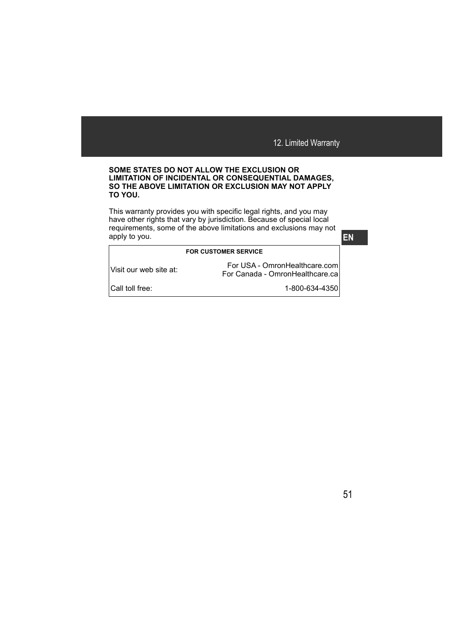#### **SOME STATES DO NOT ALLOW THE EXCLUSION OR LIMITATION OF INCIDENTAL OR CONSEQUENTIAL DAMAGES, SO THE ABOVE LIMITATION OR EXCLUSION MAY NOT APPLY TO YOU.**

This warranty provides you with specific legal rights, and you may have other rights that vary by jurisdiction. Because of special local requirements, some of the above limitations and exclusions may not apply to you.

#### **FOR CUSTOMER SERVICE**

Visit our web site at: For USA - OmronHealthcare.com For Canada - OmronHealthcare.ca

Call toll free: 1-800-634-4350

**EN**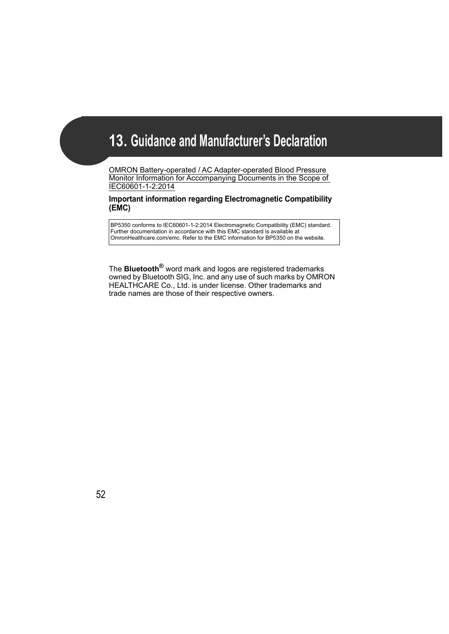# **13. Guidance and Manufacturer's Declaration**

OMRON Battery-operated / AC Adapter-operated Blood Pressure Monitor Information for Accompanying Documents in the Scope of IEC60601-1-2:2014

### **Important information regarding Electromagnetic Compatibility (EMC)**

BP5350 conforms to IEC60601-1-2:2014 Electromagnetic Compatibility (EMC) standard. Further documentation in accordance with this EMC standard is available at OmronHealthcare.com/emc. Refer to the EMC information for BP5350 on the website.

The **Bluetooth®** word mark and logos are registered trademarks owned by Bluetooth SIG, Inc. and any use of such marks by OMRON HEALTHCARE Co., Ltd. is under license. Other trademarks and trade names are those of their respective owners.